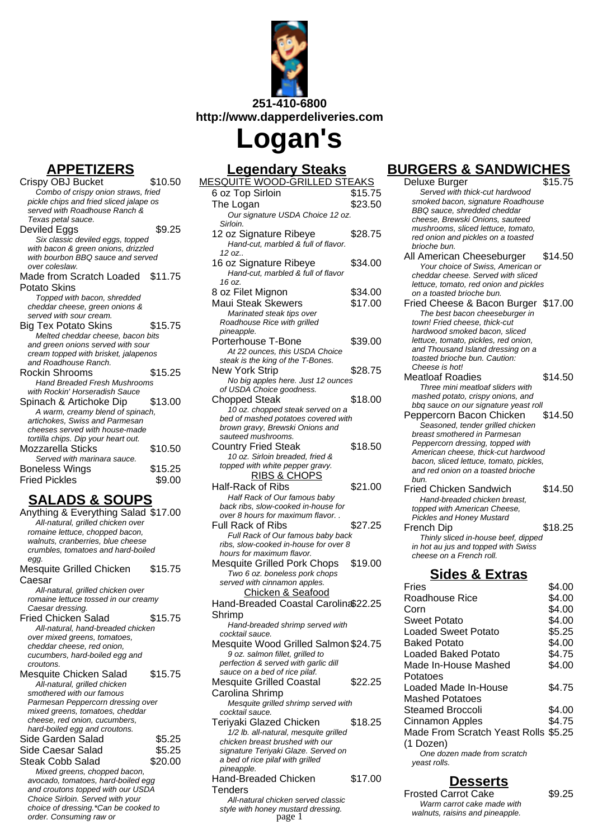

# **Logan's**

#### **APPETIZERS**

Crispy OBJ Bucket \$10.50 Combo of crispy onion straws, fried pickle chips and fried sliced jalape os served with Roadhouse Ranch & Texas petal sauce. Deviled Eggs \$9.25 Six classic deviled eggs, topped with bacon & green onions, drizzled with bourbon BBQ sauce and served over coleslaw. Made from Scratch Loaded \$11.75 Potato Skins Topped with bacon, shredded cheddar cheese, green onions & served with sour cream. Big Tex Potato Skins \$15.75 Melted cheddar cheese, bacon bits and green onions served with sour cream topped with brisket, jalapenos and Roadhouse Ranch. Rockin Shrooms \$15.25 Hand Breaded Fresh Mushrooms with Rockin' Horseradish Sauce Spinach & Artichoke Dip \$13.00 A warm, creamy blend of spinach, artichokes, Swiss and Parmesan cheeses served with house-made tortilla chips. Dip your heart out. Mozzarella Sticks \$10.50 Served with marinara sauce. Boneless Wings \$15.25 Fried Pickles \$9.00

### **SALADS & SOUPS**

- Anything & Everything Salad \$17.00 All-natural, grilled chicken over romaine lettuce, chopped bacon, walnuts, cranberries, blue cheese crumbles, tomatoes and hard-boiled egg. Mesquite Grilled Chicken Caesar \$15.75 All-natural, grilled chicken over romaine lettuce tossed in our creamy Caesar dressing. Fried Chicken Salad \$15.75 All-natural, hand-breaded chicken over mixed greens, tomatoes, cheddar cheese, red onion, cucumbers, hard-boiled egg and croutons. Mesquite Chicken Salad \$15.75 All-natural, grilled chicken smothered with our famous Parmesan Peppercorn dressing over mixed greens, tomatoes, cheddar cheese, red onion, cucumbers, hard-boiled egg and croutons. Side Garden Salad \$5.25 Side Caesar Salad \$5.25 Steak Cobb Salad \$20.00 Mixed greens, chopped bacon, avocado, tomatoes, hard-boiled egg and croutons topped with our USDA Choice Sirloin. Served with your
	- choice of dressing.\*Can be cooked to order. Consuming raw or

#### **Legendary Steaks**

| <u>Lcycliual y Olcans</u><br><u>MESQUITĒ WOOD-GRILLED STEAKS</u>         |         |
|--------------------------------------------------------------------------|---------|
| 6 oz Top Sirloin                                                         | \$15.75 |
| The Logan                                                                | \$23.50 |
| Our signature USDA Choice 12 oz.                                         |         |
| Sirloin.                                                                 |         |
| 12 oz Signature Ribeye                                                   | \$28.75 |
| Hand-cut, marbled & full of flavor.                                      |         |
| 12 oz                                                                    |         |
| 16 oz Signature Ribeye                                                   | \$34.00 |
| Hand-cut, marbled & full of flavor                                       |         |
| 16 oz.                                                                   | \$34.00 |
| 8 oz Filet Mignon                                                        |         |
| <b>Maui Steak Skewers</b>                                                | \$17.00 |
| Marinated steak tips over<br>Roadhouse Rice with grilled                 |         |
| pineapple.                                                               |         |
| Porterhouse T-Bone                                                       | \$39.00 |
| At 22 ounces, this USDA Choice                                           |         |
| steak is the king of the T-Bones.                                        |         |
| New York Strip                                                           | \$28.75 |
| No big apples here. Just 12 ounces                                       |         |
| of USDA Choice goodness.                                                 |         |
| Chopped Steak                                                            | \$18.00 |
| 10 oz. chopped steak served on a                                         |         |
| bed of mashed potatoes covered with                                      |         |
| brown gravy, Brewski Onions and<br>sauteed mushrooms.                    |         |
| <b>Country Fried Steak</b>                                               | \$18.50 |
| 10 oz. Sirloin breaded, fried &                                          |         |
| topped with white pepper gravy.                                          |         |
| <u>RIBS &amp; CHOPS</u>                                                  |         |
| <b>Half-Rack of Ribs</b>                                                 | \$21.00 |
| Half Rack of Our famous baby                                             |         |
| back ribs, slow-cooked in-house for                                      |         |
| over 8 hours for maximum flavor                                          |         |
| Full Rack of Ribs                                                        | \$27.25 |
| Full Rack of Our famous baby back                                        |         |
| ribs, slow-cooked in-house for over 8                                    |         |
| hours for maximum flavor.<br><b>Mesquite Grilled Pork Chops</b>          | \$19.00 |
| Two 6 oz. boneless pork chops                                            |         |
| served with cinnamon apples.                                             |         |
| Chicken & Seafood                                                        |         |
| Hand-Breaded Coastal Carolin \$22.25                                     |         |
| Shrimp                                                                   |         |
| Hand-breaded shrimp served with                                          |         |
| cocktail sauce.                                                          |         |
| Mesquite Wood Grilled Salmon \$24.75                                     |         |
| 9 oz. salmon fillet, grilled to                                          |         |
| perfection & served with garlic dill                                     |         |
| sauce on a bed of rice pilaf.                                            |         |
| <b>Mesquite Grilled Coastal</b>                                          | \$22.25 |
| Carolina Shrimp                                                          |         |
| Mesquite grilled shrimp served with                                      |         |
| cocktail sauce.                                                          |         |
| Teriyaki Glazed Chicken                                                  | \$18.25 |
| 1/2 lb. all-natural, mesquite grilled<br>chicken breast brushed with our |         |
| signature Teriyaki Glaze. Served on                                      |         |
| a bed of rice pilaf with grilled                                         |         |
| pineapple.                                                               |         |
| Hand-Breaded Chicken                                                     | \$17.00 |

**Tenders** 

All-natural chicken served classic style with honey mustard dressing.

## **BURGERS & SANDWICHES**

| <b>AKS</b> | Deluxe Burger                                                         | \$15.75 |
|------------|-----------------------------------------------------------------------|---------|
| \$15.75    | Served with thick-cut hardwood                                        |         |
| \$23.50    | smoked bacon, signature Roadhouse                                     |         |
|            | BBQ sauce, shredded cheddar                                           |         |
|            | cheese, Brewski Onions, sauteed<br>mushrooms, sliced lettuce, tomato, |         |
| 628.75     | red onion and pickles on a toasted                                    |         |
|            | brioche bun.                                                          |         |
|            | All American Cheeseburger                                             | \$14.50 |
| \$34.00    | Your choice of Swiss, American or                                     |         |
|            | cheddar cheese. Served with sliced                                    |         |
|            | lettuce, tomato, red onion and pickles                                |         |
| \$34.00    | on a toasted brioche bun.                                             |         |
| \$17.00    | Fried Cheese & Bacon Burger                                           | \$17.00 |
|            | The best bacon cheeseburger in                                        |         |
|            | town! Fried cheese, thick-cut<br>hardwood smoked bacon, sliced        |         |
| \$39.00    | lettuce, tomato, pickles, red onion,                                  |         |
|            | and Thousand Island dressing on a                                     |         |
|            | toasted brioche bun. Caution:                                         |         |
| 628.75     | Cheese is hot!                                                        |         |
|            | Meatloaf Roadies                                                      | \$14.50 |
|            | Three mini meatloaf sliders with                                      |         |
| 618.OO     | mashed potato, crispy onions, and                                     |         |
|            | bbq sauce on our signature yeast roll                                 |         |
|            | Peppercorn Bacon Chicken                                              | \$14.50 |
|            | Seasoned, tender grilled chicken<br>breast smothered in Parmesan      |         |
|            | Peppercorn dressing, topped with                                      |         |
| \$18.50    | American cheese, thick-cut hardwood                                   |         |
|            | bacon, sliced lettuce, tomato, pickles,                               |         |
|            | and red onion on a toasted brioche                                    |         |
| 621.OO     | bun.                                                                  |         |
|            | <b>Fried Chicken Sandwich</b>                                         | \$14.50 |
|            | Hand-breaded chicken breast,                                          |         |
|            | topped with American Cheese,<br>Pickles and Honey Mustard             |         |
| \$27.25    | French Dip                                                            | \$18.25 |
|            | Thinly sliced in-house beef, dipped                                   |         |
|            | in hot au jus and topped with Swiss                                   |         |
|            | cheese on a French roll.                                              |         |
| \$19.00    |                                                                       |         |
|            | <b>Sides &amp; Extras</b>                                             |         |
|            | Fries                                                                 | \$4.00  |
|            | Roadhouse Rice                                                        | \$4.00  |
| 622.25     | Corn                                                                  | \$4.00  |
|            | Sweet Potato                                                          | \$4.00  |
|            | <b>Loaded Sweet Potato</b>                                            | \$5.25  |
| ኔ24.75     | <b>Baked Potato</b>                                                   | \$4.00  |
|            | <b>Loaded Baked Potato</b>                                            | \$4.75  |
|            | Made In-House Mashed                                                  | \$4.00  |
|            |                                                                       |         |
| \$22.25    | Potatoes                                                              |         |
|            | Loaded Made In-House                                                  | \$4.75  |

**Desserts** Frosted Carrot Cake \$9.25 Warm carrot cake made with walnuts, raisins and pineapple.

One dozen made from scratch

Steamed Broccoli \$4.00 Cinnamon Apples \$4.75 Made From Scratch Yeast Rolls \$5.25

Mashed Potatoes

(1 Dozen)

yeast rolls.